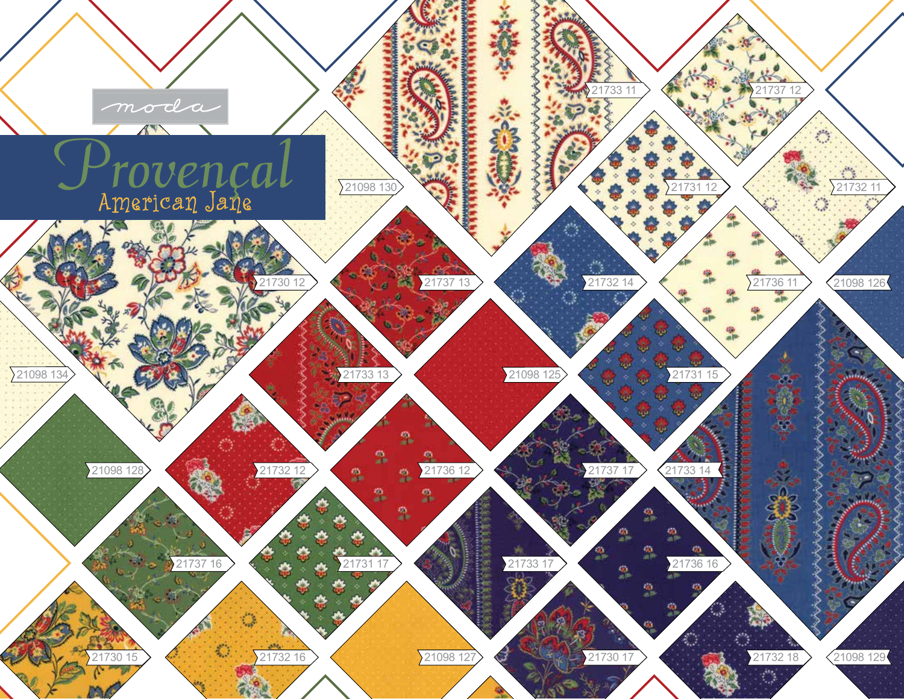